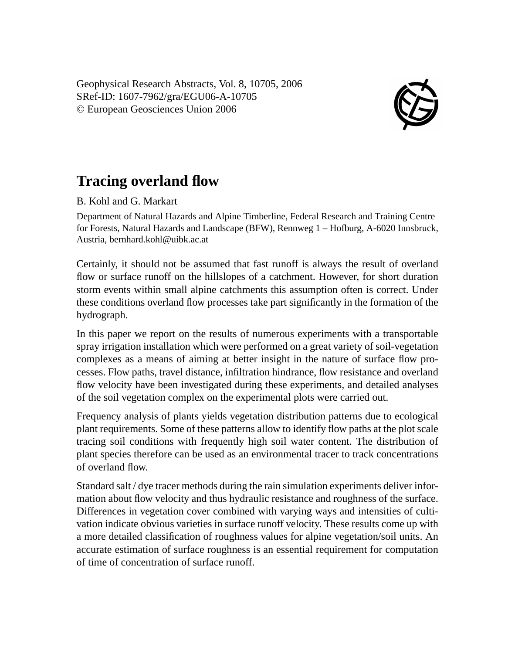Geophysical Research Abstracts, Vol. 8, 10705, 2006 SRef-ID: 1607-7962/gra/EGU06-A-10705 © European Geosciences Union 2006



## **Tracing overland flow**

## B. Kohl and G. Markart

Department of Natural Hazards and Alpine Timberline, Federal Research and Training Centre for Forests, Natural Hazards and Landscape (BFW), Rennweg 1 – Hofburg, A-6020 Innsbruck, Austria, bernhard.kohl@uibk.ac.at

Certainly, it should not be assumed that fast runoff is always the result of overland flow or surface runoff on the hillslopes of a catchment. However, for short duration storm events within small alpine catchments this assumption often is correct. Under these conditions overland flow processes take part significantly in the formation of the hydrograph.

In this paper we report on the results of numerous experiments with a transportable spray irrigation installation which were performed on a great variety of soil-vegetation complexes as a means of aiming at better insight in the nature of surface flow processes. Flow paths, travel distance, infiltration hindrance, flow resistance and overland flow velocity have been investigated during these experiments, and detailed analyses of the soil vegetation complex on the experimental plots were carried out.

Frequency analysis of plants yields vegetation distribution patterns due to ecological plant requirements. Some of these patterns allow to identify flow paths at the plot scale tracing soil conditions with frequently high soil water content. The distribution of plant species therefore can be used as an environmental tracer to track concentrations of overland flow.

Standard salt / dye tracer methods during the rain simulation experiments deliver information about flow velocity and thus hydraulic resistance and roughness of the surface. Differences in vegetation cover combined with varying ways and intensities of cultivation indicate obvious varieties in surface runoff velocity. These results come up with a more detailed classification of roughness values for alpine vegetation/soil units. An accurate estimation of surface roughness is an essential requirement for computation of time of concentration of surface runoff.